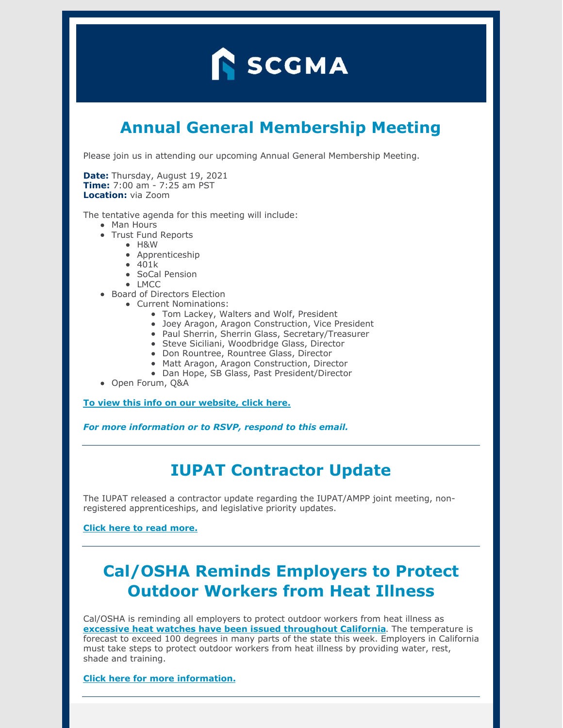# **N** SCGMA

# **Annual General Membership Meeting**

Please join us in attending our upcoming Annual General Membership Meeting.

**Date:** Thursday, August 19, 2021 **Time:** 7:00 am - 7:25 am PST **Location:** via Zoom

The tentative agenda for this meeting will include:

- Man Hours
- Trust Fund Reports
	- H&W
	- Apprenticeship
	- 401k
	- SoCal Pension
	- LMCC
- Board of Directors Election
	- Current Nominations:
		- Tom Lackey, Walters and Wolf, President
		- Joey Aragon, Aragon Construction, Vice President
		- Paul Sherrin, Sherrin Glass, Secretary/Treasurer
		- Steve Siciliani, Woodbridge Glass, Director
		- Don Rountree, Rountree Glass, Director
		- Matt Aragon, Aragon Construction, Director
		- Dan Hope, SB Glass, Past President/Director
- Open Forum, Q&A

**To view this info on our [website,](https://www.scgma.com/upcoming-scgma-annual-general-membership-meeting/) click here.**

*For more information or to RSVP, respond to this email.*

#### **IUPAT Contractor Update**

The IUPAT released a contractor update regarding the IUPAT/AMPP joint meeting, nonregistered apprenticeships, and legislative priority updates.

**Click here to read [more.](https://www.scgma.com/iupat-contractor-update/)**

## **Cal/OSHA Reminds Employers to Protect Outdoor Workers from Heat Illness**

Cal/OSHA is reminding all employers to protect outdoor workers from heat illness as **excessive heat watches have been issued [throughout](https://www.wrh.noaa.gov/hazardSummary/?state=ca&bycounty=1) California**. The temperature is forecast to exceed 100 degrees in many parts of the state this week. Employers in California must take steps to protect outdoor workers from heat illness by providing water, rest, shade and training.

**Click here for more [information.](https://www.scgma.com/cal-osha-reminder-protect-outdoor-workers-from-heat-illness/)**